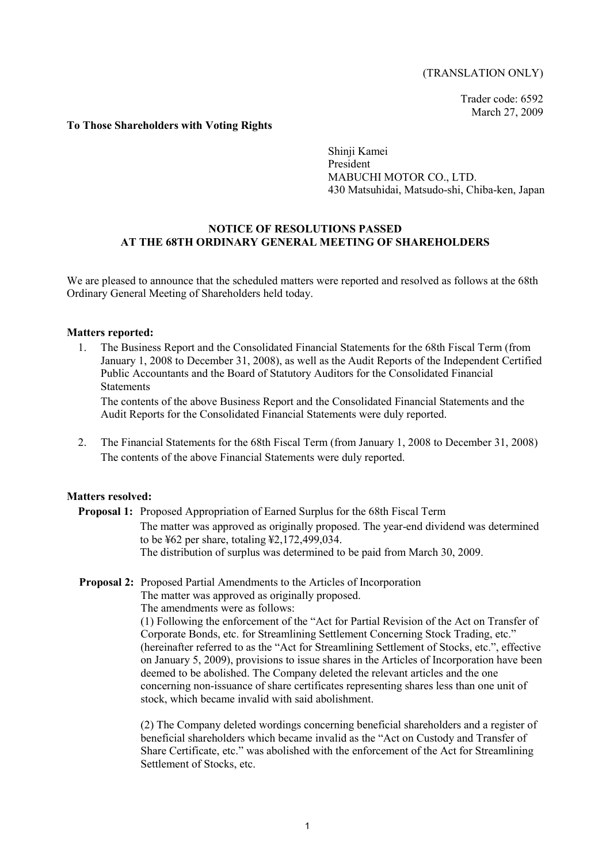# (TRANSLATION ONLY)

Trader code: 6592 March 27, 2009

### **To Those Shareholders with Voting Rights**

Shinji Kamei President MABUCHI MOTOR CO., LTD. 430 Matsuhidai, Matsudo-shi, Chiba-ken, Japan

# **NOTICE OF RESOLUTIONS PASSED AT THE 68TH ORDINARY GENERAL MEETING OF SHAREHOLDERS**

We are pleased to announce that the scheduled matters were reported and resolved as follows at the 68th Ordinary General Meeting of Shareholders held today.

#### **Matters reported:**

1. The Business Report and the Consolidated Financial Statements for the 68th Fiscal Term (from January 1, 2008 to December 31, 2008), as well as the Audit Reports of the Independent Certified Public Accountants and the Board of Statutory Auditors for the Consolidated Financial Statements

The contents of the above Business Report and the Consolidated Financial Statements and the Audit Reports for the Consolidated Financial Statements were duly reported.

2. The Financial Statements for the 68th Fiscal Term (from January 1, 2008 to December 31, 2008) The contents of the above Financial Statements were duly reported.

#### **Matters resolved:**

**Proposal 1:** Proposed Appropriation of Earned Surplus for the 68th Fiscal Term The matter was approved as originally proposed. The year-end dividend was determined to be ¥62 per share, totaling ¥2,172,499,034. The distribution of surplus was determined to be paid from March 30, 2009.

# **Proposal 2:** Proposed Partial Amendments to the Articles of Incorporation

The matter was approved as originally proposed.

The amendments were as follows:

(1) Following the enforcement of the "Act for Partial Revision of the Act on Transfer of Corporate Bonds, etc. for Streamlining Settlement Concerning Stock Trading, etc." (hereinafter referred to as the "Act for Streamlining Settlement of Stocks, etc.", effective on January 5, 2009), provisions to issue shares in the Articles of Incorporation have been deemed to be abolished. The Company deleted the relevant articles and the one concerning non-issuance of share certificates representing shares less than one unit of stock, which became invalid with said abolishment.

(2) The Company deleted wordings concerning beneficial shareholders and a register of beneficial shareholders which became invalid as the "Act on Custody and Transfer of Share Certificate, etc." was abolished with the enforcement of the Act for Streamlining Settlement of Stocks, etc.